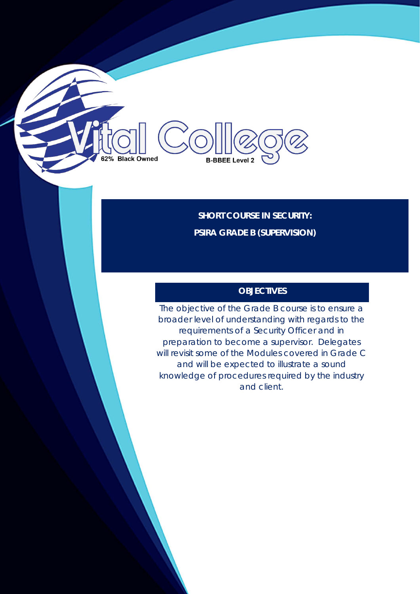**SHORT COURSE IN SECURITY: PSIRA GRADE B (SUPERVISION)**

**B-BBEE Level 2** 

2% Black Owned

# **OBJECTIVES**

The objective of the Grade B course is to ensure a broader level of understanding with regards to the requirements of a Security Officer and in preparation to become a supervisor. Delegates will revisit some of the Modules covered in Grade C and will be expected to illustrate a sound knowledge of procedures required by the industry and client.